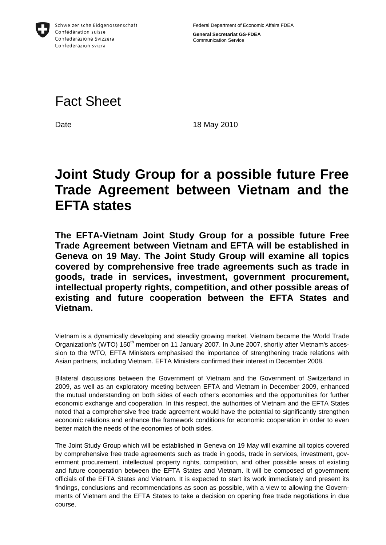

**General Secretariat GS-FDEA**  Communication Service

## Fact Sheet

Date 18 May 2010

## **Joint Study Group for a possible future Free Trade Agreement between Vietnam and the EFTA states**

**The EFTA-Vietnam Joint Study Group for a possible future Free Trade Agreement between Vietnam and EFTA will be established in Geneva on 19 May. The Joint Study Group will examine all topics covered by comprehensive free trade agreements such as trade in goods, trade in services, investment, government procurement, intellectual property rights, competition, and other possible areas of existing and future cooperation between the EFTA States and Vietnam.** 

Vietnam is a dynamically developing and steadily growing market. Vietnam became the World Trade Organization's (WTO) 150<sup>th</sup> member on 11 January 2007. In June 2007, shortly after Vietnam's accession to the WTO, EFTA Ministers emphasised the importance of strengthening trade relations with Asian partners, including Vietnam. EFTA Ministers confirmed their interest in December 2008.

Bilateral discussions between the Government of Vietnam and the Government of Switzerland in 2009, as well as an exploratory meeting between EFTA and Vietnam in December 2009, enhanced the mutual understanding on both sides of each other's economies and the opportunities for further economic exchange and cooperation. In this respect, the authorities of Vietnam and the EFTA States noted that a comprehensive free trade agreement would have the potential to significantly strengthen economic relations and enhance the framework conditions for economic cooperation in order to even better match the needs of the economies of both sides.

The Joint Study Group which will be established in Geneva on 19 May will examine all topics covered by comprehensive free trade agreements such as trade in goods, trade in services, investment, government procurement, intellectual property rights, competition, and other possible areas of existing and future cooperation between the EFTA States and Vietnam. It will be composed of government officials of the EFTA States and Vietnam. It is expected to start its work immediately and present its findings, conclusions and recommendations as soon as possible, with a view to allowing the Governments of Vietnam and the EFTA States to take a decision on opening free trade negotiations in due course.